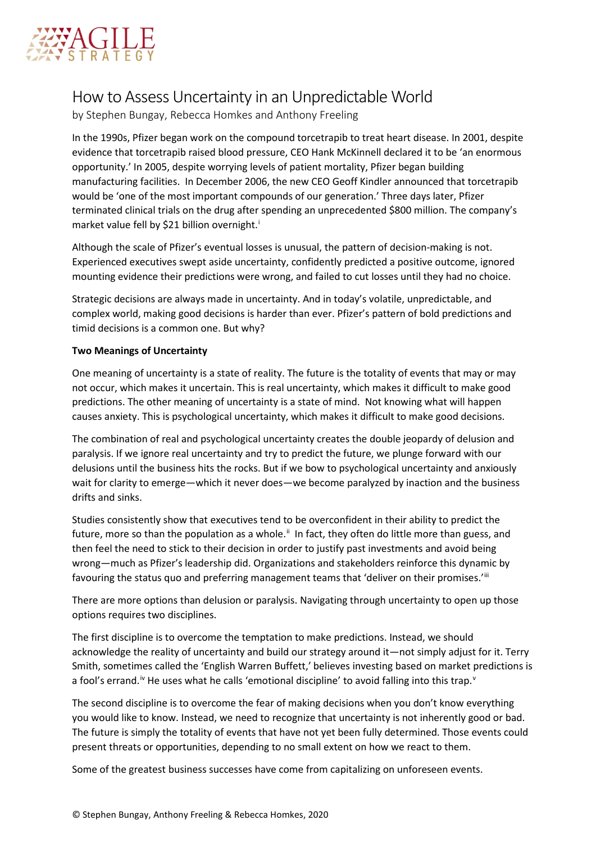

## How to Assess Uncertainty in an Unpredictable World

by Stephen Bungay, Rebecca Homkes and Anthony Freeling

In the 1990s, Pfizer began work on the compound torcetrapib to treat heart disease. In 2001, despite evidence that torcetrapib raised blood pressure, CEO Hank McKinnell declared it to be 'an enormous opportunity.' In 2005, despite worrying levels of patient mortality, Pfizer began building manufacturing facilities. In December 2006, the new CEO Geoff Kindler announced that torcetrapib would be 'one of the most important compounds of our generation.' Three days later, Pfizer terminated clinical trials on the drug after spending an unprecedented \$800 million. The company's market value fell by \$21 b[i](#page-4-0)llion overnight.<sup>i</sup>

Although the scale of Pfizer's eventual losses is unusual, the pattern of decision-making is not. Experienced executives swept aside uncertainty, confidently predicted a positive outcome, ignored mounting evidence their predictions were wrong, and failed to cut losses until they had no choice.

Strategic decisions are always made in uncertainty. And in today's volatile, unpredictable, and complex world, making good decisions is harder than ever. Pfizer's pattern of bold predictions and timid decisions is a common one. But why?

## **Two Meanings of Uncertainty**

One meaning of uncertainty is a state of reality. The future is the totality of events that may or may not occur, which makes it uncertain. This is real uncertainty, which makes it difficult to make good predictions. The other meaning of uncertainty is a state of mind. Not knowing what will happen causes anxiety. This is psychological uncertainty, which makes it difficult to make good decisions.

The combination of real and psychological uncertainty creates the double jeopardy of delusion and paralysis. If we ignore real uncertainty and try to predict the future, we plunge forward with our delusions until the business hits the rocks. But if we bow to psychological uncertainty and anxiously wait for clarity to emerge—which it never does—we become paralyzed by inaction and the business drifts and sinks.

Studies consistently show that executives tend to be overconfident in their ability to predict the future, more so than the population as a whole.<sup>[ii](#page-4-1)</sup> In fact, they often do little more than guess, and then feel the need to stick to their decision in order to justify past investments and avoid being wrong—much as Pfizer's leadership did. Organizations and stakeholders reinforce this dynamic by favouring the status quo and preferring management teams that 'deliver on their promises.'iii

There are more options than delusion or paralysis. Navigating through uncertainty to open up those options requires two disciplines.

The first discipline is to overcome the temptation to make predictions. Instead, we should acknowledge the reality of uncertainty and build our strategy around it—not simply adjust for it. Terry Smith, sometimes called the 'English Warren Buffett,' believes investing based on market predictions is a fool's errand.<sup>[iv](#page-4-3)</sup> He uses what he calls 'emotional discipline' to a[v](#page-4-4)oid falling into this trap.<sup>v</sup>

The second discipline is to overcome the fear of making decisions when you don't know everything you would like to know. Instead, we need to recognize that uncertainty is not inherently good or bad. The future is simply the totality of events that have not yet been fully determined. Those events could present threats or opportunities, depending to no small extent on how we react to them.

Some of the greatest business successes have come from capitalizing on unforeseen events.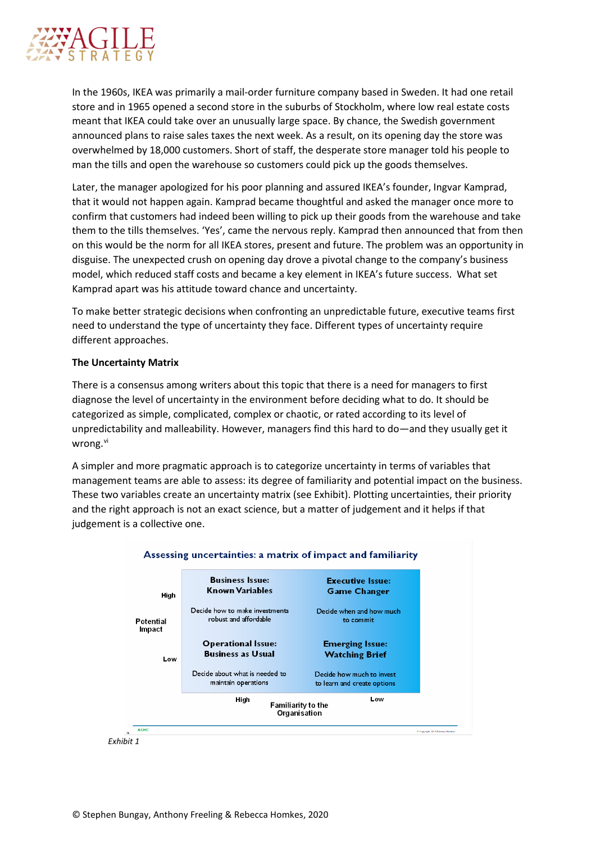

In the 1960s, IKEA was primarily a mail-order furniture company based in Sweden. It had one retail store and in 1965 opened a second store in the suburbs of Stockholm, where low real estate costs meant that IKEA could take over an unusually large space. By chance, the Swedish government announced plans to raise sales taxes the next week. As a result, on its opening day the store was overwhelmed by 18,000 customers. Short of staff, the desperate store manager told his people to man the tills and open the warehouse so customers could pick up the goods themselves.

Later, the manager apologized for his poor planning and assured IKEA's founder, Ingvar Kamprad, that it would not happen again. Kamprad became thoughtful and asked the manager once more to confirm that customers had indeed been willing to pick up their goods from the warehouse and take them to the tills themselves. 'Yes', came the nervous reply. Kamprad then announced that from then on this would be the norm for all IKEA stores, present and future. The problem was an opportunity in disguise. The unexpected crush on opening day drove a pivotal change to the company's business model, which reduced staff costs and became a key element in IKEA's future success. What set Kamprad apart was his attitude toward chance and uncertainty.

To make better strategic decisions when confronting an unpredictable future, executive teams first need to understand the type of uncertainty they face. Different types of uncertainty require different approaches.

## **The Uncertainty Matrix**

There is a consensus among writers about this topic that there is a need for managers to first diagnose the level of uncertainty in the environment before deciding what to do. It should be categorized as simple, complicated, complex or chaotic, or rated according to its level of unpredictability and malleability. However, managers find this hard to do—and they usually get it wrong.<sup>[vi](#page-4-5)</sup>

A simpler and more pragmatic approach is to categorize uncertainty in terms of variables that management teams are able to assess: its degree of familiarity and potential impact on the business. These two variables create an uncertainty matrix (see Exhibit). Plotting uncertainties, their priority and the right approach is not an exact science, but a matter of judgement and it helps if that judgement is a collective one.



*Exhibit 1*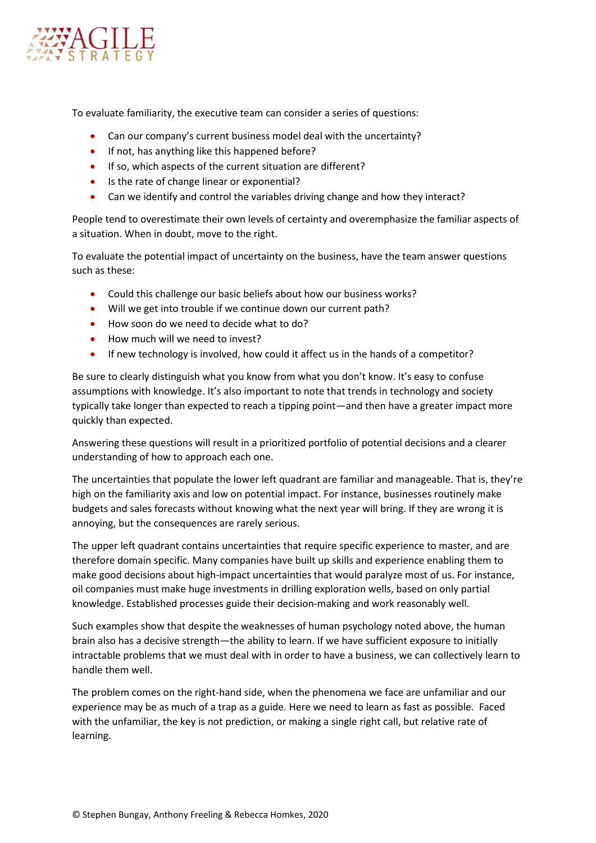

To evaluate familiarity, the executive team can consider a series of questions:

- Can our company's current business model deal with the uncertainty?
- If not, has anything like this happened before?
- If so, which aspects of the current situation are different?
- Is the rate of change linear or exponential?
- Can we identify and control the variables driving change and how they interact?

People tend to overestimate their own levels of certainty and overemphasize the familiar aspects of a situation. When in doubt, move to the right.

To evaluate the potential impact of uncertainty on the business, have the team answer questions such as these:

- Could this challenge our basic beliefs about how our business works?
- Will we get into trouble if we continue down our current path?
- How soon do we need to decide what to do?
- How much will we need to invest?
- If new technology is involved, how could it affect us in the hands of a competitor?

Be sure to clearly distinguish what you know from what you don't know. It's easy to confuse assumptions with knowledge. It's also important to note that trends in technology and society typically take longer than expected to reach a tipping point—and then have a greater impact more quickly than expected.

Answering these questions will result in a prioritized portfolio of potential decisions and a clearer understanding of how to approach each one.

The uncertainties that populate the lower left quadrant are familiar and manageable. That is, they're high on the familiarity axis and low on potential impact. For instance, businesses routinely make budgets and sales forecasts without knowing what the next year will bring. If they are wrong it is annoying, but the consequences are rarely serious.

The upper left quadrant contains uncertainties that require specific experience to master, and are therefore domain specific. Many companies have built up skills and experience enabling them to make good decisions about high-impact uncertainties that would paralyze most of us. For instance, oil companies must make huge investments in drilling exploration wells, based on only partial knowledge. Established processes guide their decision-making and work reasonably well.

Such examples show that despite the weaknesses of human psychology noted above, the human brain also has a decisive strength—the ability to learn. If we have sufficient exposure to initially intractable problems that we must deal with in order to have a business, we can collectively learn to handle them well.

The problem comes on the right-hand side, when the phenomena we face are unfamiliar and our experience may be as much of a trap as a guide. Here we need to learn as fast as possible. Faced with the unfamiliar, the key is not prediction, or making a single right call, but relative rate of learning.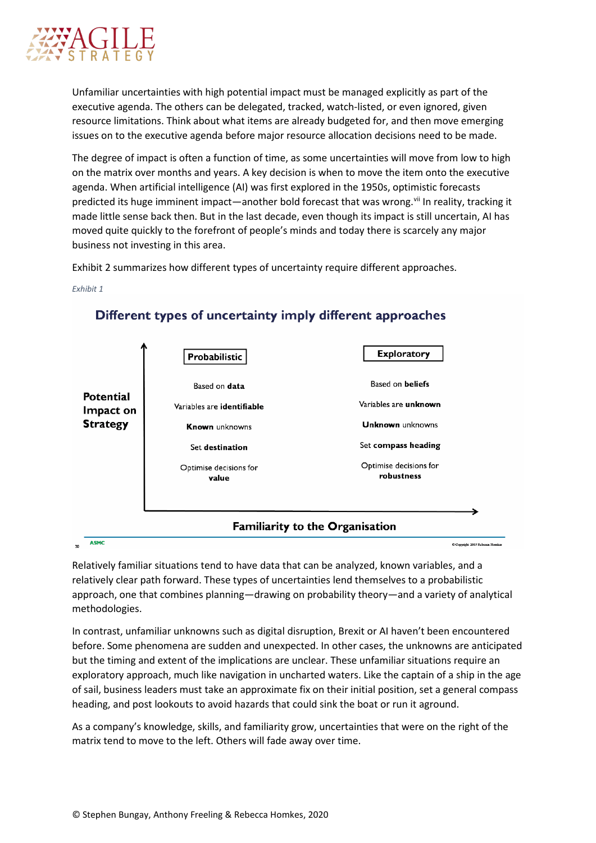

Unfamiliar uncertainties with high potential impact must be managed explicitly as part of the executive agenda. The others can be delegated, tracked, watch-listed, or even ignored, given resource limitations. Think about what items are already budgeted for, and then move emerging issues on to the executive agenda before major resource allocation decisions need to be made.

The degree of impact is often a function of time, as some uncertainties will move from low to high on the matrix over months and years. A key decision is when to move the item onto the executive agenda. When artificial intelligence (AI) was first explored in the 1950s, optimistic forecasts predicted its huge imminent impact—another bold forecast that was wrong. Vii In reality, tracking it made little sense back then. But in the last decade, even though its impact is still uncertain, AI has moved quite quickly to the forefront of people's minds and today there is scarcely any major business not investing in this area.

Exhibit 2 summarizes how different types of uncertainty require different approaches.



*Exhibit 1*

Different types of uncertainty imply different approaches

Relatively familiar situations tend to have data that can be analyzed, known variables, and a relatively clear path forward. These types of uncertainties lend themselves to a probabilistic approach, one that combines planning—drawing on probability theory—and a variety of analytical methodologies.

In contrast, unfamiliar unknowns such as digital disruption, Brexit or AI haven't been encountered before. Some phenomena are sudden and unexpected. In other cases, the unknowns are anticipated but the timing and extent of the implications are unclear. These unfamiliar situations require an exploratory approach, much like navigation in uncharted waters. Like the captain of a ship in the age of sail, business leaders must take an approximate fix on their initial position, set a general compass heading, and post lookouts to avoid hazards that could sink the boat or run it aground.

As a company's knowledge, skills, and familiarity grow, uncertainties that were on the right of the matrix tend to move to the left. Others will fade away over time.